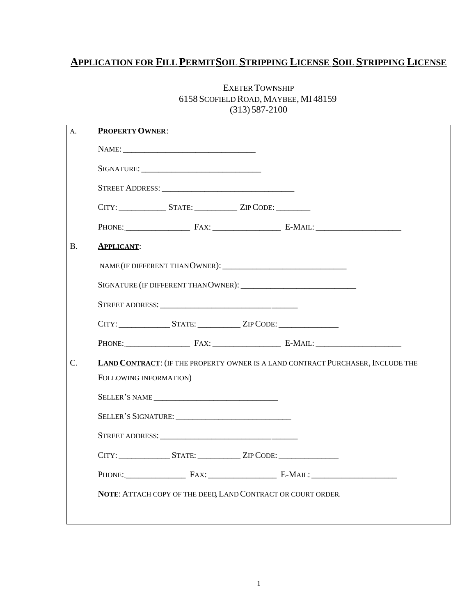# **APPLICATION FOR FILL PERMITSOIL STRIPPING LICENSE SOIL STRIPPING LICENSE**

| A. | <b>PROPERTY OWNER:</b>                                                             |                                                                                  |  |  |  |  |
|----|------------------------------------------------------------------------------------|----------------------------------------------------------------------------------|--|--|--|--|
|    |                                                                                    |                                                                                  |  |  |  |  |
|    |                                                                                    |                                                                                  |  |  |  |  |
|    |                                                                                    |                                                                                  |  |  |  |  |
|    |                                                                                    |                                                                                  |  |  |  |  |
|    |                                                                                    |                                                                                  |  |  |  |  |
| B. | <b>APPLICANT:</b>                                                                  |                                                                                  |  |  |  |  |
|    |                                                                                    |                                                                                  |  |  |  |  |
|    |                                                                                    |                                                                                  |  |  |  |  |
|    |                                                                                    |                                                                                  |  |  |  |  |
|    |                                                                                    | CITY: ____________________STATE: _______________ZIP CODE: ______________________ |  |  |  |  |
|    |                                                                                    |                                                                                  |  |  |  |  |
| Ċ. | <b>LAND CONTRACT: (IF THE PROPERTY OWNER IS A LAND CONTRACT PURCHASER, INCLUDE</b> |                                                                                  |  |  |  |  |
|    | FOLLOWING INFORMATION)                                                             |                                                                                  |  |  |  |  |
|    |                                                                                    |                                                                                  |  |  |  |  |
|    | SELLER'S SIGNATURE:                                                                |                                                                                  |  |  |  |  |
|    | $C$ TDEET ADDDECC                                                                  |                                                                                  |  |  |  |  |

B. **APPLICANT**:

## EXETER TOWNSHIP 6158 SCOFIELD ROAD, MAYBEE, MI 48159 (313) 587-2100

|                                                              |                                                                                  |  | <b>LAND CONTRACT:</b> (IF THE PROPERTY OWNER IS A LAND CONTRACT PURCHASER, INCLUDE THE |  |
|--------------------------------------------------------------|----------------------------------------------------------------------------------|--|----------------------------------------------------------------------------------------|--|
|                                                              | FOLLOWING INFORMATION)                                                           |  |                                                                                        |  |
|                                                              | SELLER'S NAME                                                                    |  |                                                                                        |  |
|                                                              |                                                                                  |  |                                                                                        |  |
|                                                              |                                                                                  |  |                                                                                        |  |
|                                                              | CITY: ____________________STATE: _______________ZIP CODE: ______________________ |  |                                                                                        |  |
|                                                              |                                                                                  |  | PHONE: FAX: E-MAIL:                                                                    |  |
| NOTE: ATTACH COPY OF THE DEED, LAND CONTRACT OR COURT ORDER. |                                                                                  |  |                                                                                        |  |
|                                                              |                                                                                  |  |                                                                                        |  |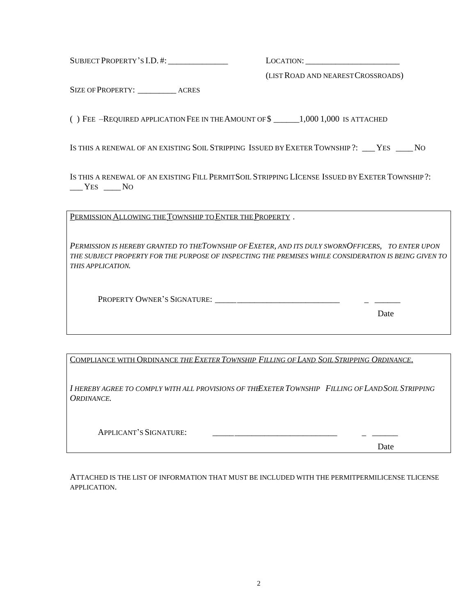SUBJECT PROPERTY'S I.D. #: \_\_\_\_\_\_\_\_\_\_\_\_\_\_ LOCATION: \_\_\_\_\_\_\_\_\_\_\_\_\_\_\_\_\_\_\_\_\_\_

(LIST ROAD AND NEAREST CROSSROADS)

SIZE OF PROPERTY: ACRES

( ) FEE –REQUIRED APPLICATION FEE IN THE AMOUNT OF \$ \_\_\_\_\_\_1,000 1,000 IS ATTACHED

IS THIS A RENEWAL OF AN EXISTING SOIL STRIPPING ISSUED BY EXETER TOWNSHIP ?: YES NO

IS THIS A RENEWAL OF AN EXISTING FILL PERMITSOIL STRIPPING LICENSE ISSUED BY EXETER TOWNSHIP ?:  $\Sigma$  YES  $\Sigma$  No

PERMISSION ALLOWING THE TOWNSHIP TO ENTER THE PROPERTY .

*PERMISSION IS HEREBY GRANTED TO THE TOWNSHIP OF EXETER, AND ITS DULY SWORN OFFICERS, TO ENTER UPON THE SUBJECT PROPERTY FOR THE PURPOSE OF INSPECTING THE PREMISES WHILE CONSIDERATION IS BEING GIVEN TO THIS APPLICATION.*

PROPERTY OWNER'S SIGNATURE: \_\_\_\_\_\_\_\_\_\_\_\_\_\_\_\_\_\_\_\_\_\_\_\_\_\_\_\_\_ \_ \_\_\_\_\_\_

Date

COMPLIANCE WITH ORDINANCE *THE EXETER TOWNSHIP FILLING OF LAND SOIL STRIPPING ORDINANCE*.

*I HEREBY AGREE TO COMPLY WITH ALL PROVISIONS OF THE EXETER TOWNSHIP FILLING OF LANDSOIL STRIPPING ORDINANCE.*

APPLICANT'S SIGNATURE:

Date

ATTACHED IS THE LIST OF INFORMATION THAT MUST BE INCLUDED WITH THE PERMITPERMILICENSE TLICENSE APPLICATION.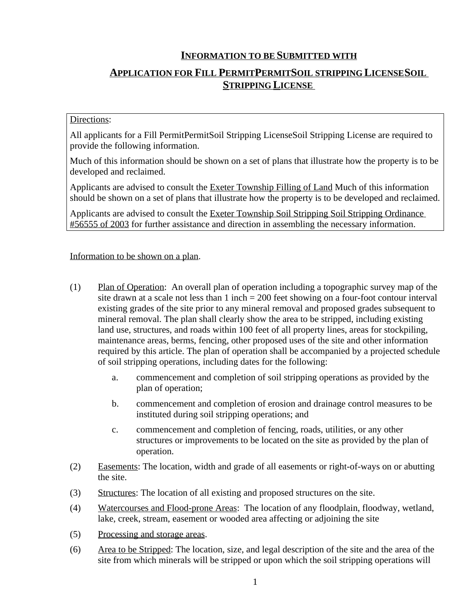## **INFORMATION TO BE SUBMITTED WITH**

## **APPLICATION FOR FILL PERMITPERMITSOIL STRIPPING LICENSESOIL STRIPPING LICENSE**

#### Directions:

All applicants for a Fill PermitPermitSoil Stripping LicenseSoil Stripping License are required to provide the following information.

Much of this information should be shown on a set of plans that illustrate how the property is to be developed and reclaimed.

Applicants are advised to consult the Exeter Township Filling of Land Much of this information should be shown on a set of plans that illustrate how the property is to be developed and reclaimed.

Applicants are advised to consult the Exeter Township Soil Stripping Soil Stripping Ordinance #56555 of 2003 for further assistance and direction in assembling the necessary information.

Information to be shown on a plan.

- (1) Plan of Operation: An overall plan of operation including a topographic survey map of the site drawn at a scale not less than 1 inch = 200 feet showing on a four-foot contour interval existing grades of the site prior to any mineral removal and proposed grades subsequent to mineral removal. The plan shall clearly show the area to be stripped, including existing land use, structures, and roads within 100 feet of all property lines, areas for stockpiling, maintenance areas, berms, fencing, other proposed uses of the site and other information required by this article. The plan of operation shall be accompanied by a projected schedule of soil stripping operations, including dates for the following:
	- a. commencement and completion of soil stripping operations as provided by the plan of operation;
	- b. commencement and completion of erosion and drainage control measures to be instituted during soil stripping operations; and
	- c. commencement and completion of fencing, roads, utilities, or any other structures or improvements to be located on the site as provided by the plan of operation.
- (2) Easements: The location, width and grade of all easements or right-of-ways on or abutting the site.
- (3) Structures: The location of all existing and proposed structures on the site.
- (4) Watercourses and Flood-prone Areas: The location of any floodplain, floodway, wetland, lake, creek, stream, easement or wooded area affecting or adjoining the site
- (5) Processing and storage areas.
- (6) Area to be Stripped: The location, size, and legal description of the site and the area of the site from which minerals will be stripped or upon which the soil stripping operations will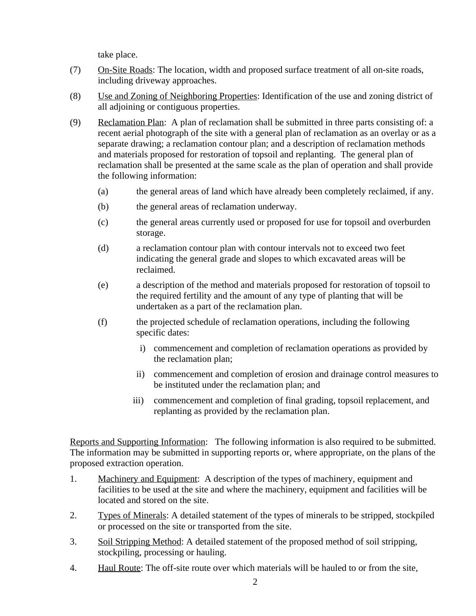take place.

- (7) On-Site Roads: The location, width and proposed surface treatment of all on-site roads, including driveway approaches.
- (8) Use and Zoning of Neighboring Properties: Identification of the use and zoning district of all adjoining or contiguous properties.
- (9) Reclamation Plan: A plan of reclamation shall be submitted in three parts consisting of: a recent aerial photograph of the site with a general plan of reclamation as an overlay or as a separate drawing; a reclamation contour plan; and a description of reclamation methods and materials proposed for restoration of topsoil and replanting. The general plan of reclamation shall be presented at the same scale as the plan of operation and shall provide the following information:
	- (a) the general areas of land which have already been completely reclaimed, if any.
	- (b) the general areas of reclamation underway.
	- (c) the general areas currently used or proposed for use for topsoil and overburden storage.
	- (d) a reclamation contour plan with contour intervals not to exceed two feet indicating the general grade and slopes to which excavated areas will be reclaimed.
	- (e) a description of the method and materials proposed for restoration of topsoil to the required fertility and the amount of any type of planting that will be undertaken as a part of the reclamation plan.
	- (f) the projected schedule of reclamation operations, including the following specific dates:
		- i) commencement and completion of reclamation operations as provided by the reclamation plan;
		- ii) commencement and completion of erosion and drainage control measures to be instituted under the reclamation plan; and
		- iii) commencement and completion of final grading, topsoil replacement, and replanting as provided by the reclamation plan.

Reports and Supporting Information: The following information is also required to be submitted. The information may be submitted in supporting reports or, where appropriate, on the plans of the proposed extraction operation.

- 1. Machinery and Equipment: A description of the types of machinery, equipment and facilities to be used at the site and where the machinery, equipment and facilities will be located and stored on the site.
- 2. Types of Minerals: A detailed statement of the types of minerals to be stripped, stockpiled or processed on the site or transported from the site.
- 3. Soil Stripping Method: A detailed statement of the proposed method of soil stripping, stockpiling, processing or hauling.
- 4. Haul Route: The off-site route over which materials will be hauled to or from the site,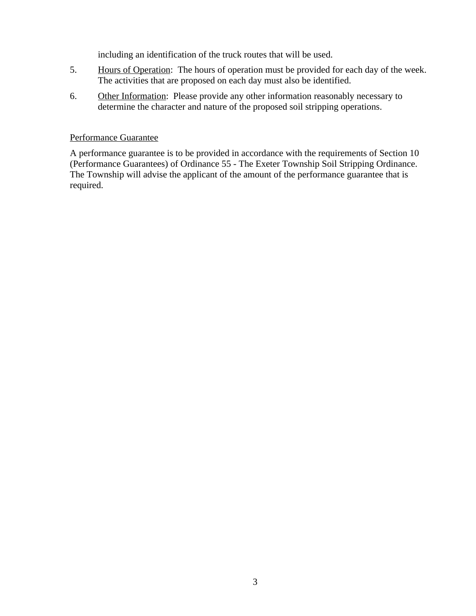including an identification of the truck routes that will be used.

- 5. Hours of Operation: The hours of operation must be provided for each day of the week. The activities that are proposed on each day must also be identified.
- 6. Other Information: Please provide any other information reasonably necessary to determine the character and nature of the proposed soil stripping operations.

#### Performance Guarantee

A performance guarantee is to be provided in accordance with the requirements of Section 10 (Performance Guarantees) of Ordinance 55 - The Exeter Township Soil Stripping Ordinance. The Township will advise the applicant of the amount of the performance guarantee that is required.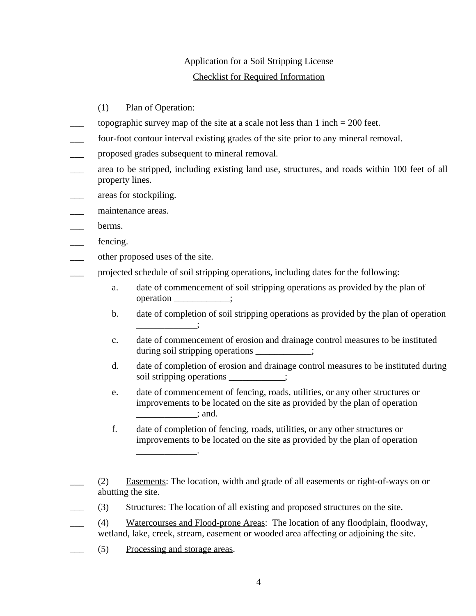## Application for a Soil Stripping License Checklist for Required Information

### (1) Plan of Operation:

- topographic survey map of the site at a scale not less than  $1$  inch  $= 200$  feet.
- four-foot contour interval existing grades of the site prior to any mineral removal.
- proposed grades subsequent to mineral removal.
- area to be stripped, including existing land use, structures, and roads within 100 feet of all property lines.
- areas for stockpiling.
- maintenance areas.
- berms.
- fencing.
- other proposed uses of the site.
- projected schedule of soil stripping operations, including dates for the following:
	- a. date of commencement of soil stripping operations as provided by the plan of operation \_\_\_\_\_\_\_\_\_;
	- b. date of completion of soil stripping operations as provided by the plan of operation  $\overline{\phantom{a}}$
	- c. date of commencement of erosion and drainage control measures to be instituted during soil stripping operations \_\_\_\_\_\_\_\_\_;
	- d. date of completion of erosion and drainage control measures to be instituted during soil stripping operations  $\qquad$ ;
	- e. date of commencement of fencing, roads, utilities, or any other structures or improvements to be located on the site as provided by the plan of operation  $\therefore$  and.
	- f. date of completion of fencing, roads, utilities, or any other structures or improvements to be located on the site as provided by the plan of operation \_\_\_\_\_\_\_\_\_\_\_\_\_.
- \_\_\_ (2) Easements: The location, width and grade of all easements or right-of-ways on or abutting the site.
	- \_\_\_ (3) Structures: The location of all existing and proposed structures on the site.
- \_\_\_ (4) Watercourses and Flood-prone Areas: The location of any floodplain, floodway, wetland, lake, creek, stream, easement or wooded area affecting or adjoining the site.
	- \_\_\_ (5) Processing and storage areas.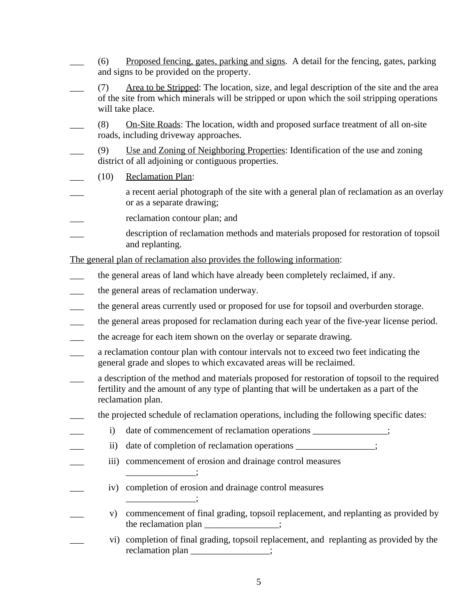- \_\_\_ (6) Proposed fencing, gates, parking and signs. A detail for the fencing, gates, parking and signs to be provided on the property.
- \_\_\_ (7) Area to be Stripped: The location, size, and legal description of the site and the area of the site from which minerals will be stripped or upon which the soil stripping operations will take place.
- (8) On-Site Roads: The location, width and proposed surface treatment of all on-site roads, including driveway approaches.
- \_\_\_ (9) Use and Zoning of Neighboring Properties: Identification of the use and zoning district of all adjoining or contiguous properties.
	- \_\_\_ (10) Reclamation Plan:
- a recent aerial photograph of the site with a general plan of reclamation as an overlay or as a separate drawing;
- reclamation contour plan; and
- \_\_\_ description of reclamation methods and materials proposed for restoration of topsoil and replanting.

The general plan of reclamation also provides the following information:

- the general areas of land which have already been completely reclaimed, if any.
- \_\_\_ the general areas of reclamation underway.

\_\_\_\_\_\_\_\_\_\_\_\_\_\_\_;

 $\sim$ 

- the general areas currently used or proposed for use for topsoil and overburden storage.
- \_\_\_ the general areas proposed for reclamation during each year of the five-year license period.
- the acreage for each item shown on the overlay or separate drawing.
- \_\_\_ a reclamation contour plan with contour intervals not to exceed two feet indicating the general grade and slopes to which excavated areas will be reclaimed.
- a description of the method and materials proposed for restoration of topsoil to the required fertility and the amount of any type of planting that will be undertaken as a part of the reclamation plan.
- \_\_\_ the projected schedule of reclamation operations, including the following specific dates:
	- i) date of commencement of reclamation operations \_\_\_\_\_\_\_\_\_\_\_\_\_;
	- ii) date of completion of reclamation operations \_\_\_\_\_\_\_\_\_\_\_\_\_;
- iii) commencement of erosion and drainage control measures
	- iv) completion of erosion and drainage control measures
- v) commencement of final grading, topsoil replacement, and replanting as provided by the reclamation plan \_\_\_\_\_\_\_\_\_\_\_\_\_;
- \_\_\_ vi) completion of final grading, topsoil replacement, and replanting as provided by the reclamation plan \_\_\_\_\_\_\_\_\_\_\_\_\_\_;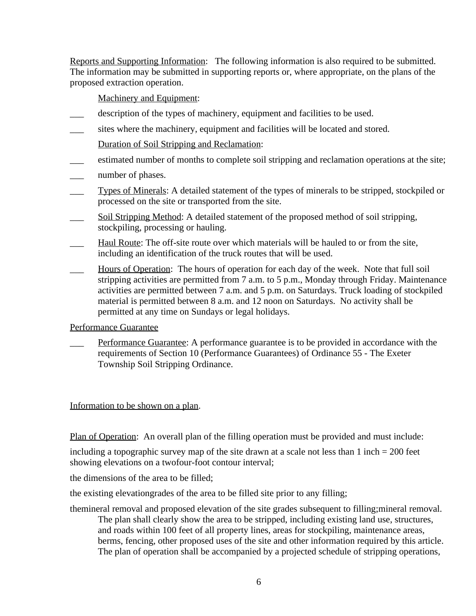Reports and Supporting Information: The following information is also required to be submitted. The information may be submitted in supporting reports or, where appropriate, on the plans of the proposed extraction operation.

Machinery and Equipment:

- description of the types of machinery, equipment and facilities to be used.
- sites where the machinery, equipment and facilities will be located and stored.
	- Duration of Soil Stripping and Reclamation:
- \_\_\_ estimated number of months to complete soil stripping and reclamation operations at the site;
- number of phases.
- **Types of Minerals:** A detailed statement of the types of minerals to be stripped, stockpiled or processed on the site or transported from the site.
- **EXECUTE:** Soil Stripping Method: A detailed statement of the proposed method of soil stripping, stockpiling, processing or hauling.
- Haul Route: The off-site route over which materials will be hauled to or from the site, including an identification of the truck routes that will be used.
- Hours of Operation: The hours of operation for each day of the week. Note that full soil stripping activities are permitted from 7 a.m. to 5 p.m., Monday through Friday. Maintenance activities are permitted between 7 a.m. and 5 p.m. on Saturdays. Truck loading of stockpiled material is permitted between 8 a.m. and 12 noon on Saturdays. No activity shall be permitted at any time on Sundays or legal holidays.

Performance Guarantee

\_\_\_ Performance Guarantee: A performance guarantee is to be provided in accordance with the requirements of Section 10 (Performance Guarantees) of Ordinance 55 - The Exeter Township Soil Stripping Ordinance.

Information to be shown on a plan.

Plan of Operation: An overall plan of the filling operation must be provided and must include:

including a topographic survey map of the site drawn at a scale not less than  $1$  inch  $= 200$  feet showing elevations on a twofour-foot contour interval;

the dimensions of the area to be filled;

the existing elevationgrades of the area to be filled site prior to any filling;

themineral removal and proposed elevation of the site grades subsequent to filling;mineral removal. The plan shall clearly show the area to be stripped, including existing land use, structures, and roads within 100 feet of all property lines, areas for stockpiling, maintenance areas, berms, fencing, other proposed uses of the site and other information required by this article. The plan of operation shall be accompanied by a projected schedule of stripping operations,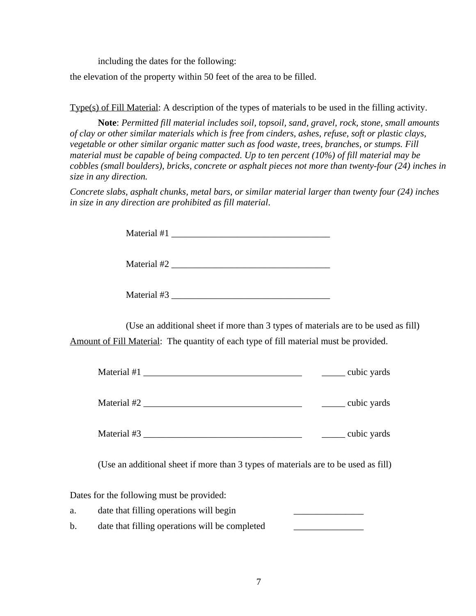including the dates for the following:

the elevation of the property within 50 feet of the area to be filled.

Type(s) of Fill Material: A description of the types of materials to be used in the filling activity.

**Note**: *Permitted fill material includes soil, topsoil, sand, gravel, rock, stone, small amounts of clay or other similar materials which is free from cinders, ashes, refuse, soft or plastic clays, vegetable or other similar organic matter such as food waste, trees, branches, or stumps. Fill material must be capable of being compacted. Up to ten percent (10%) of fill material may be cobbles (small boulders), bricks, concrete or asphalt pieces not more than twenty-four (24) inches in size in any direction.*

*Concrete slabs, asphalt chunks, metal bars, or similar material larger than twenty four (24) inches in size in any direction are prohibited as fill material*.

(Use an additional sheet if more than 3 types of materials are to be used as fill) Amount of Fill Material: The quantity of each type of fill material must be provided.

| Material #1 | cubic yards |
|-------------|-------------|
| Material #2 | cubic yards |
| Material #3 | cubic yards |

(Use an additional sheet if more than 3 types of materials are to be used as fill)

Dates for the following must be provided:

| a. | date that filling operations will begin        |  |
|----|------------------------------------------------|--|
| b. | date that filling operations will be completed |  |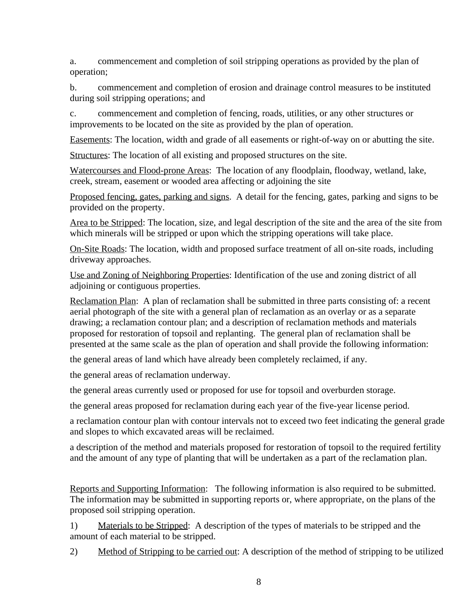a. commencement and completion of soil stripping operations as provided by the plan of operation;

b. commencement and completion of erosion and drainage control measures to be instituted during soil stripping operations; and

c. commencement and completion of fencing, roads, utilities, or any other structures or improvements to be located on the site as provided by the plan of operation.

Easements: The location, width and grade of all easements or right-of-way on or abutting the site.

Structures: The location of all existing and proposed structures on the site.

Watercourses and Flood-prone Areas: The location of any floodplain, floodway, wetland, lake, creek, stream, easement or wooded area affecting or adjoining the site

Proposed fencing, gates, parking and signs. A detail for the fencing, gates, parking and signs to be provided on the property.

Area to be Stripped: The location, size, and legal description of the site and the area of the site from which minerals will be stripped or upon which the stripping operations will take place.

On-Site Roads: The location, width and proposed surface treatment of all on-site roads, including driveway approaches.

Use and Zoning of Neighboring Properties: Identification of the use and zoning district of all adjoining or contiguous properties.

Reclamation Plan: A plan of reclamation shall be submitted in three parts consisting of: a recent aerial photograph of the site with a general plan of reclamation as an overlay or as a separate drawing; a reclamation contour plan; and a description of reclamation methods and materials proposed for restoration of topsoil and replanting. The general plan of reclamation shall be presented at the same scale as the plan of operation and shall provide the following information:

the general areas of land which have already been completely reclaimed, if any.

the general areas of reclamation underway.

the general areas currently used or proposed for use for topsoil and overburden storage.

the general areas proposed for reclamation during each year of the five-year license period.

a reclamation contour plan with contour intervals not to exceed two feet indicating the general grade and slopes to which excavated areas will be reclaimed.

a description of the method and materials proposed for restoration of topsoil to the required fertility and the amount of any type of planting that will be undertaken as a part of the reclamation plan.

Reports and Supporting Information: The following information is also required to be submitted. The information may be submitted in supporting reports or, where appropriate, on the plans of the proposed soil stripping operation.

1) Materials to be Stripped: A description of the types of materials to be stripped and the amount of each material to be stripped.

2) Method of Stripping to be carried out: A description of the method of stripping to be utilized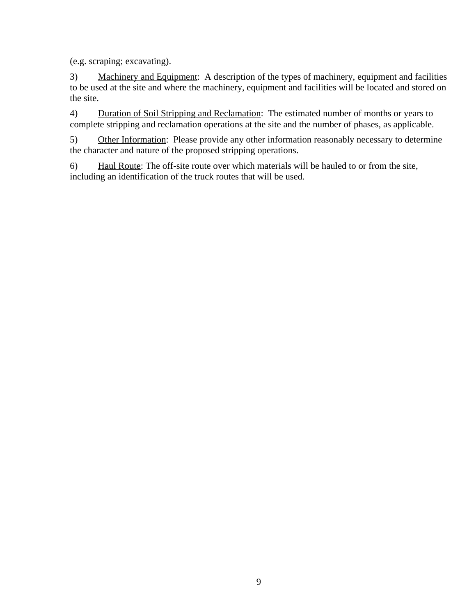(e.g. scraping; excavating).

3) Machinery and Equipment: A description of the types of machinery, equipment and facilities to be used at the site and where the machinery, equipment and facilities will be located and stored on the site.

4) Duration of Soil Stripping and Reclamation: The estimated number of months or years to complete stripping and reclamation operations at the site and the number of phases, as applicable.

5) Other Information: Please provide any other information reasonably necessary to determine the character and nature of the proposed stripping operations.

6) Haul Route: The off-site route over which materials will be hauled to or from the site, including an identification of the truck routes that will be used.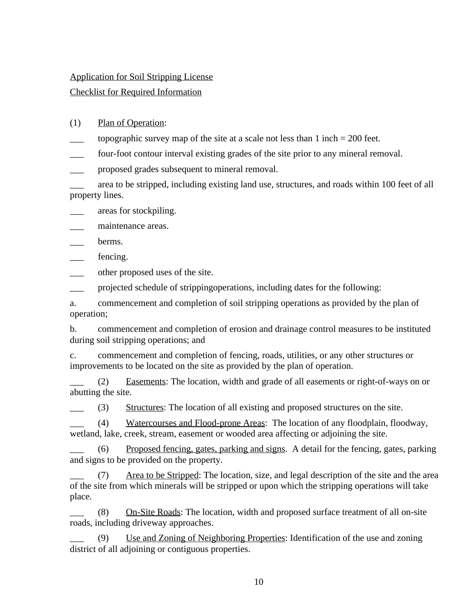#### Application for Soil Stripping License

### Checklist for Required Information

- (1) Plan of Operation:
- topographic survey map of the site at a scale not less than  $1$  inch  $= 200$  feet.
- four-foot contour interval existing grades of the site prior to any mineral removal.
- proposed grades subsequent to mineral removal.
- \_\_\_ area to be stripped, including existing land use, structures, and roads within 100 feet of all property lines.

areas for stockpiling.

maintenance areas.

\_\_\_ berms.

\_\_\_ fencing.

\_\_\_ other proposed uses of the site.

projected schedule of stripping operations, including dates for the following:

a. commencement and completion of soil stripping operations as provided by the plan of operation;

b. commencement and completion of erosion and drainage control measures to be instituted during soil stripping operations; and

c. commencement and completion of fencing, roads, utilities, or any other structures or improvements to be located on the site as provided by the plan of operation.

\_\_\_ (2) Easements: The location, width and grade of all easements or right-of-ways on or abutting the site.

\_\_\_ (3) Structures: The location of all existing and proposed structures on the site.

\_\_\_ (4) Watercourses and Flood-prone Areas: The location of any floodplain, floodway, wetland, lake, creek, stream, easement or wooded area affecting or adjoining the site.

\_\_\_ (6) Proposed fencing, gates, parking and signs. A detail for the fencing, gates, parking and signs to be provided on the property.

\_\_\_ (7) Area to be Stripped: The location, size, and legal description of the site and the area of the site from which minerals will be stripped or upon which the stripping operations will take place.

(8) On-Site Roads: The location, width and proposed surface treatment of all on-site roads, including driveway approaches.

Use and Zoning of Neighboring Properties: Identification of the use and zoning district of all adjoining or contiguous properties.